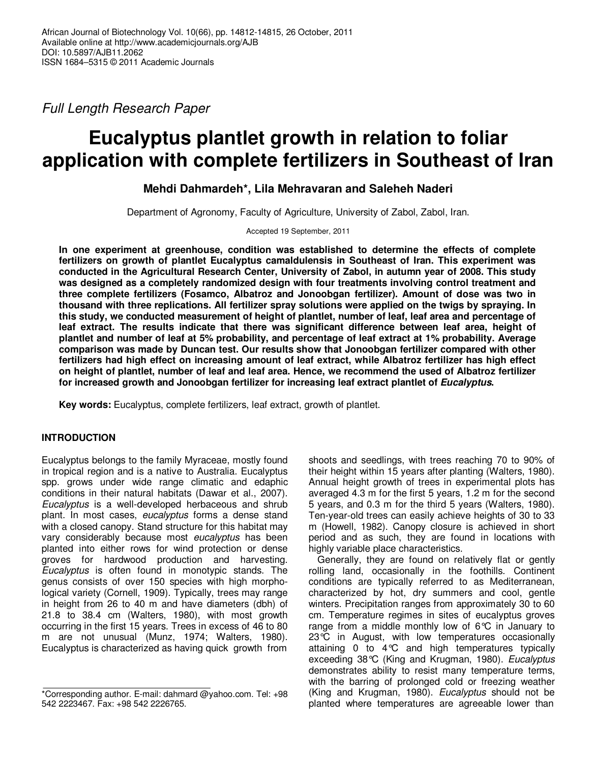Full Length Research Paper

# **Eucalyptus plantlet growth in relation to foliar application with complete fertilizers in Southeast of Iran**

# **Mehdi Dahmardeh\*, Lila Mehravaran and Saleheh Naderi**

Department of Agronomy, Faculty of Agriculture, University of Zabol, Zabol, Iran.

Accepted 19 September, 2011

**In one experiment at greenhouse, condition was established to determine the effects of complete fertilizers on growth of plantlet Eucalyptus camaldulensis in Southeast of Iran. This experiment was conducted in the Agricultural Research Center, University of Zabol, in autumn year of 2008. This study was designed as a completely randomized design with four treatments involving control treatment and three complete fertilizers (Fosamco, Albatroz and Jonoobgan fertilizer). Amount of dose was two in thousand with three replications. All fertilizer spray solutions were applied on the twigs by spraying. In this study, we conducted measurement of height of plantlet, number of leaf, leaf area and percentage of leaf extract. The results indicate that there was significant difference between leaf area, height of plantlet and number of leaf at 5% probability, and percentage of leaf extract at 1% probability. Average comparison was made by Duncan test. Our results show that Jonoobgan fertilizer compared with other fertilizers had high effect on increasing amount of leaf extract, while Albatroz fertilizer has high effect on height of plantlet, number of leaf and leaf area. Hence, we recommend the used of Albatroz fertilizer for increased growth and Jonoobgan fertilizer for increasing leaf extract plantlet of Eucalyptus.** 

**Key words:** Eucalyptus, complete fertilizers, leaf extract, growth of plantlet.

### **INTRODUCTION**

Eucalyptus belongs to the family Myraceae, mostly found in tropical region and is a native to Australia. Eucalyptus spp. grows under wide range climatic and edaphic conditions in their natural habitats (Dawar et al., 2007). Eucalyptus is a well-developed herbaceous and shrub plant. In most cases, eucalyptus forms a dense stand with a closed canopy. Stand structure for this habitat may vary considerably because most eucalyptus has been planted into either rows for wind protection or dense groves for hardwood production and harvesting. Eucalyptus is often found in monotypic stands. The genus consists of over 150 species with high morphological variety (Cornell, 1909). Typically, trees may range in height from 26 to 40 m and have diameters (dbh) of 21.8 to 38.4 cm (Walters, 1980), with most growth occurring in the first 15 years. Trees in excess of 46 to 80 m are not unusual (Munz, 1974; Walters, 1980). Eucalyptus is characterized as having quick growth from

shoots and seedlings, with trees reaching 70 to 90% of their height within 15 years after planting (Walters, 1980). Annual height growth of trees in experimental plots has averaged 4.3 m for the first 5 years, 1.2 m for the second 5 years, and 0.3 m for the third 5 years (Walters, 1980). Ten-year-old trees can easily achieve heights of 30 to 33 m (Howell, 1982). Canopy closure is achieved in short period and as such, they are found in locations with highly variable place characteristics.

Generally, they are found on relatively flat or gently rolling land, occasionally in the foothills. Continent conditions are typically referred to as Mediterranean, characterized by hot, dry summers and cool, gentle winters. Precipitation ranges from approximately 30 to 60 cm. Temperature regimes in sites of eucalyptus groves range from a middle monthly low of 6°C in January to 23°C in August, with low temperatures occasionally attaining 0 to 4°C and high temperatures typically exceeding 38°C (King and Krugman, 1980). Eucalyptus demonstrates ability to resist many temperature terms, with the barring of prolonged cold or freezing weather (King and Krugman, 1980). Eucalyptus should not be planted where temperatures are agreeable lower than

<sup>\*</sup>Corresponding author. E-mail: dahmard @yahoo.com. Tel: +98 542 2223467. Fax: +98 542 2226765.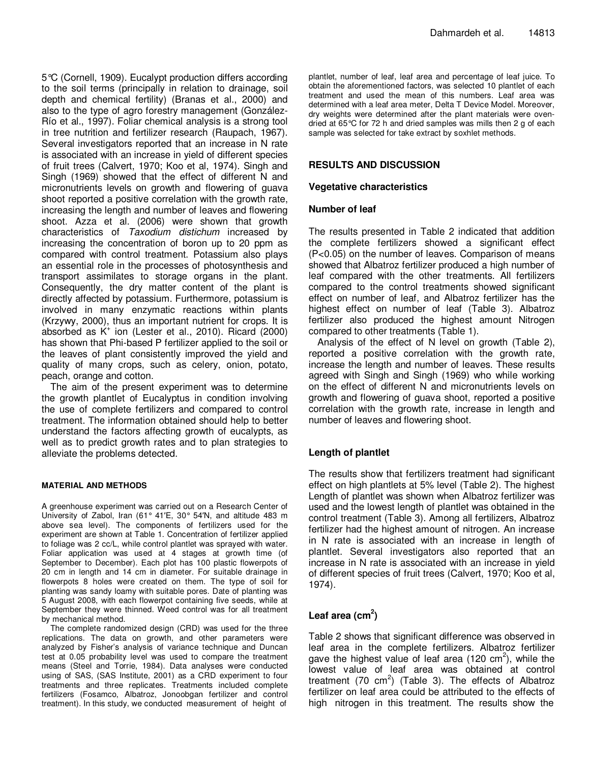5°C (Cornell, 1909). Eucalypt production differs according to the soil terms (principally in relation to drainage, soil depth and chemical fertility) (Branas et al., 2000) and also to the type of agro forestry management (González-Río et al., 1997). Foliar chemical analysis is a strong tool in tree nutrition and fertilizer research (Raupach, 1967). Several investigators reported that an increase in N rate is associated with an increase in yield of different species of fruit trees (Calvert, 1970; Koo et al, 1974). Singh and Singh (1969) showed that the effect of different N and micronutrients levels on growth and flowering of guava shoot reported a positive correlation with the growth rate, increasing the length and number of leaves and flowering shoot. Azza et al. (2006) were shown that growth characteristics of Taxodium distichum increased by increasing the concentration of boron up to 20 ppm as compared with control treatment. Potassium also plays an essential role in the processes of photosynthesis and transport assimilates to storage organs in the plant. Consequently, the dry matter content of the plant is directly affected by potassium. Furthermore, potassium is involved in many enzymatic reactions within plants (Krzywy, 2000), thus an important nutrient for crops. It is absorbed as K<sup>+</sup> ion (Lester et al., 2010). Ricard (2000) has shown that Phi-based P fertilizer applied to the soil or the leaves of plant consistently improved the yield and quality of many crops, such as celery, onion, potato, peach, orange and cotton.

The aim of the present experiment was to determine the growth plantlet of Eucalyptus in condition involving the use of complete fertilizers and compared to control treatment. The information obtained should help to better understand the factors affecting growth of eucalypts, as well as to predict growth rates and to plan strategies to alleviate the problems detected.

#### **MATERIAL AND METHODS**

A greenhouse experiment was carried out on a Research Center of University of Zabol, Iran (61° 41′E, 30° 54′N, and altitude 483 m above sea level). The components of fertilizers used for the experiment are shown at Table 1. Concentration of fertilizer applied to foliage was 2 cc/L, while control plantlet was sprayed with water. Foliar application was used at 4 stages at growth time (of September to December). Each plot has 100 plastic flowerpots of 20 cm in length and 14 cm in diameter. For suitable drainage in flowerpots 8 holes were created on them. The type of soil for planting was sandy loamy with suitable pores. Date of planting was 5 August 2008, with each flowerpot containing five seeds, while at September they were thinned. Weed control was for all treatment by mechanical method.

The complete randomized design (CRD) was used for the three replications. The data on growth, and other parameters were analyzed by Fisher's analysis of variance technique and Duncan test at 0.05 probability level was used to compare the treatment means (Steel and Torrie, 1984). Data analyses were conducted using of SAS, (SAS Institute, 2001) as a CRD experiment to four treatments and three replicates. Treatments included complete fertilizers (Fosamco, Albatroz, Jonoobgan fertilizer and control treatment). In this study, we conducted measurement of height of

plantlet, number of leaf, leaf area and percentage of leaf juice. To obtain the aforementioned factors, was selected 10 plantlet of each treatment and used the mean of this numbers. Leaf area was determined with a leaf area meter, Delta T Device Model. Moreover, dry weights were determined after the plant materials were ovendried at 65°C for 72 h and dried samples was mills then 2 g of each sample was selected for take extract by soxhlet methods.

#### **RESULTS AND DISCUSSION**

#### **Vegetative characteristics**

#### **Number of leaf**

The results presented in Table 2 indicated that addition the complete fertilizers showed a significant effect (P<0.05) on the number of leaves. Comparison of means showed that Albatroz fertilizer produced a high number of leaf compared with the other treatments. All fertilizers compared to the control treatments showed significant effect on number of leaf, and Albatroz fertilizer has the highest effect on number of leaf (Table 3). Albatroz fertilizer also produced the highest amount Nitrogen compared to other treatments (Table 1).

Analysis of the effect of N level on growth (Table 2), reported a positive correlation with the growth rate, increase the length and number of leaves. These results agreed with Singh and Singh (1969) who while working on the effect of different N and micronutrients levels on growth and flowering of guava shoot, reported a positive correlation with the growth rate, increase in length and number of leaves and flowering shoot.

#### **Length of plantlet**

The results show that fertilizers treatment had significant effect on high plantlets at 5% level (Table 2). The highest Length of plantlet was shown when Albatroz fertilizer was used and the lowest length of plantlet was obtained in the control treatment (Table 3). Among all fertilizers, Albatroz fertilizer had the highest amount of nitrogen. An increase in N rate is associated with an increase in length of plantlet. Several investigators also reported that an increase in N rate is associated with an increase in yield of different species of fruit trees (Calvert, 1970; Koo et al, 1974).

## Leaf area (cm<sup>2</sup>)

Table 2 shows that significant difference was observed in leaf area in the complete fertilizers. Albatroz fertilizer gave the highest value of leaf area (120 cm<sup>2</sup>), while the lowest value of leaf area was obtained at control treatment (70 cm<sup>2</sup>) (Table 3). The effects of Albatroz fertilizer on leaf area could be attributed to the effects of high nitrogen in this treatment. The results show the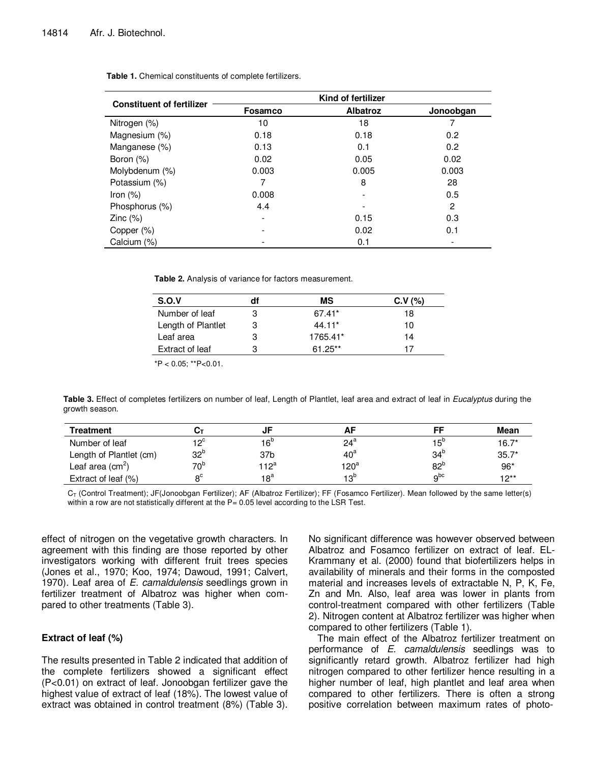| <b>Constituent of fertilizer</b> | Kind of fertilizer |                 |           |  |
|----------------------------------|--------------------|-----------------|-----------|--|
|                                  | Fosamco            | <b>Albatroz</b> | Jonoobgan |  |
| Nitrogen (%)                     | 10                 | 18              |           |  |
| Magnesium (%)                    | 0.18               | 0.18            | 0.2       |  |
| Manganese (%)                    | 0.13               | 0.1             | 0.2       |  |
| Boron $(\%)$                     | 0.02               | 0.05            | 0.02      |  |
| Molybdenum (%)                   | 0.003              | 0.005           | 0.003     |  |
| Potassium (%)                    | 7                  | 8               | 28        |  |
| Iron $(\%)$                      | 0.008              |                 | 0.5       |  |
| Phosphorus (%)                   | 4.4                |                 | 2         |  |
| $\mathsf{Zinc}(\% )$             | ۰                  | 0.15            | 0.3       |  |
| Copper (%)                       |                    | 0.02            | 0.1       |  |
| Calcium (%)                      |                    | 0.1             |           |  |

**Table 1.** Chemical constituents of complete fertilizers.

**Table 2.** Analysis of variance for factors measurement.

| S.O.V              | df | МS        | C.V (%) |
|--------------------|----|-----------|---------|
| Number of leaf     | 3  | 67.41*    | 18      |
| Length of Plantlet | 3  | $44.11*$  | 10      |
| Leaf area          | 3  | 1765.41*  | 14      |
| Extract of leaf    | 3  | $61.25**$ | 17      |

 $*P < 0.05$ ; \*\* $P < 0.01$ .

Table 3. Effect of completes fertilizers on number of leaf, Length of Plantlet, leaf area and extract of leaf in Eucalyptus during the growth season.

| <b>Treatment</b>        |                 |                 | AF               | FF              | <b>Mean</b> |
|-------------------------|-----------------|-----------------|------------------|-----------------|-------------|
| Number of leaf          | 1 OC            | 16 <sup>b</sup> | $24^a$           | $15^{\circ}$    | $16.7*$     |
| Length of Plantlet (cm) | 32 <sup>b</sup> | 37 <sub>b</sub> | $40^{\circ}$     | 34 <sup>b</sup> | $35.7*$     |
| Leaf area $(cm2)$       | 70 <sup>b</sup> | $112^a$         | 120 <sup>a</sup> | 82 <sup>b</sup> | $96*$       |
| Extract of leaf (%)     | о <sup>с</sup>  | 18 <sup>a</sup> | 13 <sup>b</sup>  | q <sub>pc</sub> | $10**$      |

 $C_T$  (Control Treatment); JF(Jonoobgan Fertilizer); AF (Albatroz Fertilizer); FF (Fosamco Fertilizer). Mean followed by the same letter(s) within a row are not statistically different at the P= 0.05 level according to the LSR Test.

effect of nitrogen on the vegetative growth characters. In agreement with this finding are those reported by other investigators working with different fruit trees species (Jones et al., 1970; Koo, 1974; Dawoud, 1991; Calvert, 1970). Leaf area of E. camaldulensis seedlings grown in fertilizer treatment of Albatroz was higher when compared to other treatments (Table 3).

#### **Extract of leaf (%)**

The results presented in Table 2 indicated that addition of the complete fertilizers showed a significant effect (P<0.01) on extract of leaf. Jonoobgan fertilizer gave the highest value of extract of leaf (18%). The lowest value of extract was obtained in control treatment (8%) (Table 3). No significant difference was however observed between Albatroz and Fosamco fertilizer on extract of leaf. EL-Krammany et al. (2000) found that biofertilizers helps in availability of minerals and their forms in the composted material and increases levels of extractable N, P, K, Fe, Zn and Mn. Also, leaf area was lower in plants from control-treatment compared with other fertilizers (Table 2). Nitrogen content at Albatroz fertilizer was higher when compared to other fertilizers (Table 1).

The main effect of the Albatroz fertilizer treatment on performance of E. camaldulensis seedlings was to significantly retard growth. Albatroz fertilizer had high nitrogen compared to other fertilizer hence resulting in a higher number of leaf, high plantlet and leaf area when compared to other fertilizers. There is often a strong positive correlation between maximum rates of photo